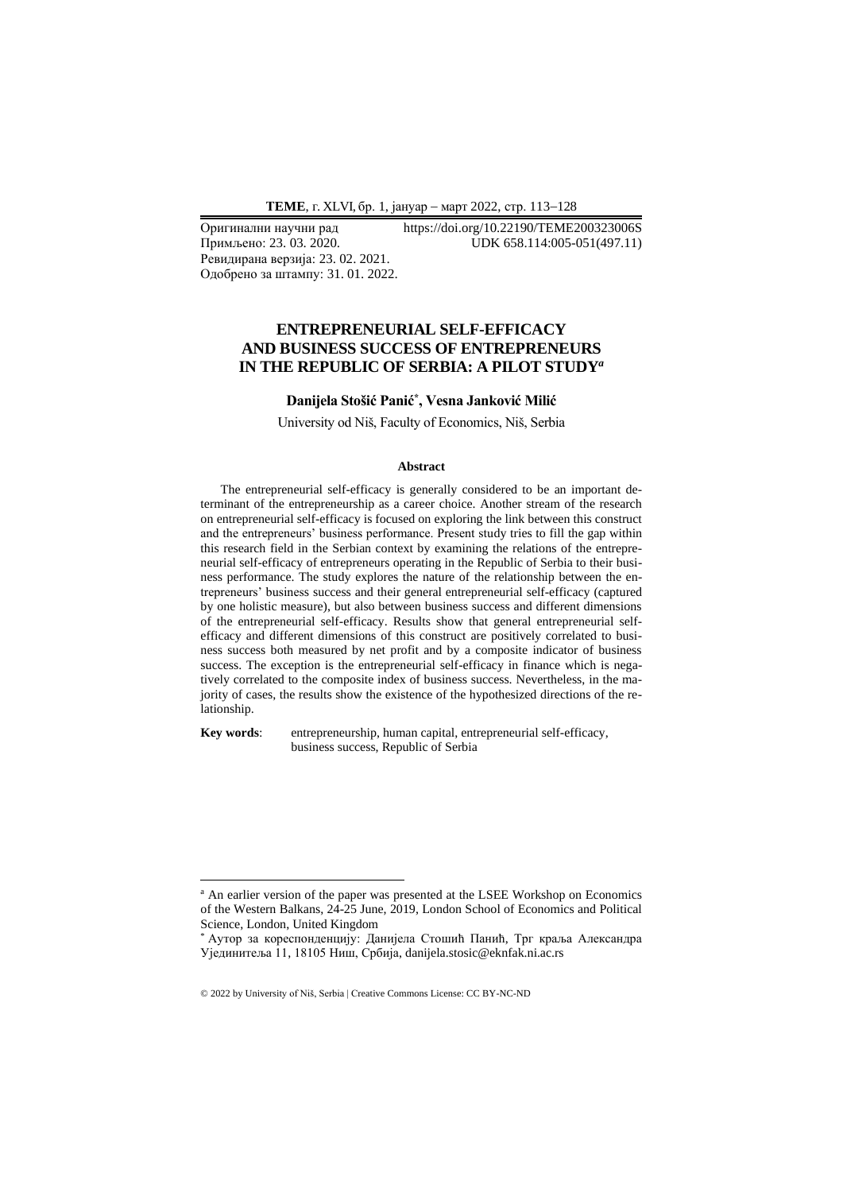Ревидирана верзија: 23. 02. 2021. Одобрено за штампу: 31. 01. 2022.

Оригинални научни рад https://doi.org/10.22190/TEME200323006S UDK 658.114:005-051(497.11)

## **ENTREPRENEURIAL SELF-EFFICACY AND BUSINESS SUCCESS OF ENTREPRENEURS IN THE REPUBLIC OF SERBIA: A PILOT STUDY***<sup>a</sup>*

## **Danijela Stošić Panić\* , Vesna Janković Milić**

University od Niš, Faculty of Economics, Niš, Serbia

#### **Abstract**

The entrepreneurial self-efficacy is generally considered to be an important determinant of the entrepreneurship as a career choice. Another stream of the research on entrepreneurial self-efficacy is focused on exploring the link between this construct and the entrepreneurs' business performance. Present study tries to fill the gap within this research field in the Serbian context by examining the relations of the entrepreneurial self-efficacy of entrepreneurs operating in the Republic of Serbia to their business performance. The study explores the nature of the relationship between the entrepreneurs' business success and their general entrepreneurial self-efficacy (captured by one holistic measure), but also between business success and different dimensions of the entrepreneurial self-efficacy. Results show that general entrepreneurial selfefficacy and different dimensions of this construct are positively correlated to business success both measured by net profit and by a composite indicator of business success. The exception is the entrepreneurial self-efficacy in finance which is negatively correlated to the composite index of business success. Nevertheless, in the majority of cases, the results show the existence of the hypothesized directions of the relationship.

**Key words**: entrepreneurship, human capital, entrepreneurial self-efficacy, business success, Republic of Serbia

<sup>&</sup>lt;sup>a</sup> An earlier version of the paper was presented at the LSEE Workshop on Economics of the Western Balkans, 24-25 June, 2019, London School of Economics and Political Science, London, United Kingdom

<sup>\*</sup> Аутор за кореспонденцију: Данијела Стошић Панић, Трг краља Александра Ујединитеља 11, 18105 Ниш, Србија, danijela.stosic@eknfak.ni.ac.rs

<sup>© 2022</sup> by University of Niš, Serbia | Creative Commons License: CC BY-NC-ND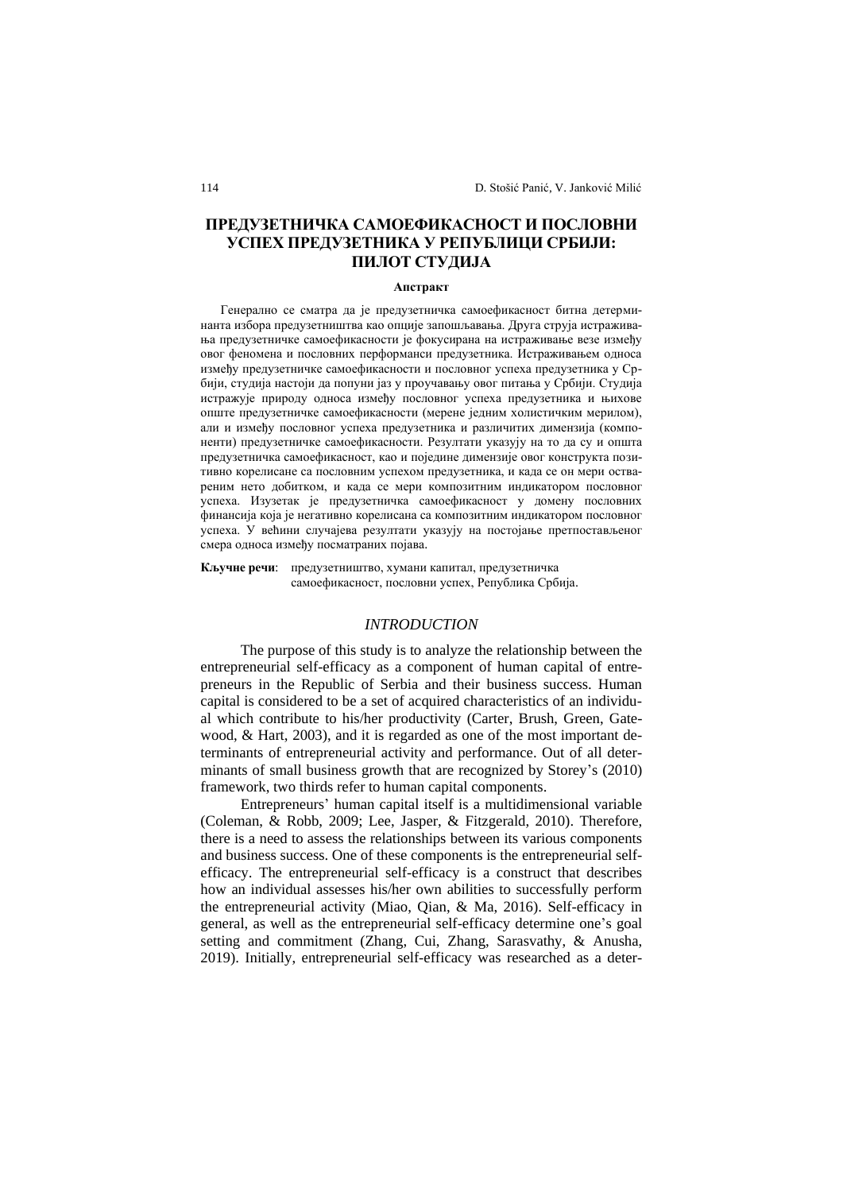# **ПРЕДУЗЕТНИЧКА САМОЕФИКАСНОСТ И ПОСЛОВНИ УСПЕХ ПРЕДУЗЕТНИКА У РЕПУБЛИЦИ СРБИЈИ: ПИЛОТ СТУДИЈА**

## **Апстракт**

Генерално се сматра да је предузетничка самоефикасност битна детерминанта избора предузетништва као опције запошљавања. Друга струја истраживања предузетничке самоефикасности је фокусирана на истраживање везе између овог феномена и пословних перформанси предузетника. Истраживањем односа између предузетничке самоефикасности и пословног успеха предузетника у Србији, студија настоји да попуни јаз у проучавању овог питања у Србији. Студија истражује природу односа између пословног успеха предузетника и њихове опште предузетничке самоефикасности (мерене једним холистичким мерилом), али и између пословног успеха предузетника и различитих димензија (компоненти) предузетничке самоефикасности. Резултати указују на то да су и општа предузетничка самоефикасност, као и поједине димензије овог конструкта позитивно корелисане са пословним успехом предузетника, и када се он мери оствареним нето добитком, и када се мери композитним индикатором пословног успеха. Изузетак је предузетничка самоефикасност у домену пословних финансија која је негативно корелисана са композитним индикатором пословног успеха. У већини случајева резултати указују на постојање претпостављеног смера односа између посматраних појава.

**Кључне речи**: предузетништво, хумани капитал, предузетничка самоефикасност, пословни успех, Република Србија.

#### *INTRODUCTION*

The purpose of this study is to analyze the relationship between the entrepreneurial self-efficacy as a component of human capital of entrepreneurs in the Republic of Serbia and their business success. Human capital is considered to be a set of acquired characteristics of an individual which contribute to his/her productivity (Carter, Brush, Green, Gatewood, & Hart, 2003), and it is regarded as one of the most important determinants of entrepreneurial activity and performance. Out of all determinants of small business growth that are recognized by Storey's (2010) framework, two thirds refer to human capital components.

Entrepreneurs' human capital itself is a multidimensional variable (Coleman, & Robb, 2009; Lee, Jasper, & Fitzgerald, 2010). Therefore, there is a need to assess the relationships between its various components and business success. One of these components is the entrepreneurial selfefficacy. The entrepreneurial self-efficacy is a construct that describes how an individual assesses his/her own abilities to successfully perform the entrepreneurial activity (Miao, Qian, & Ma, 2016). Self-efficacy in general, as well as the entrepreneurial self-efficacy determine one's goal setting and commitment (Zhang, Cui, Zhang, Sarasvathy, & Anusha, 2019). Initially, entrepreneurial self-efficacy was researched as a deter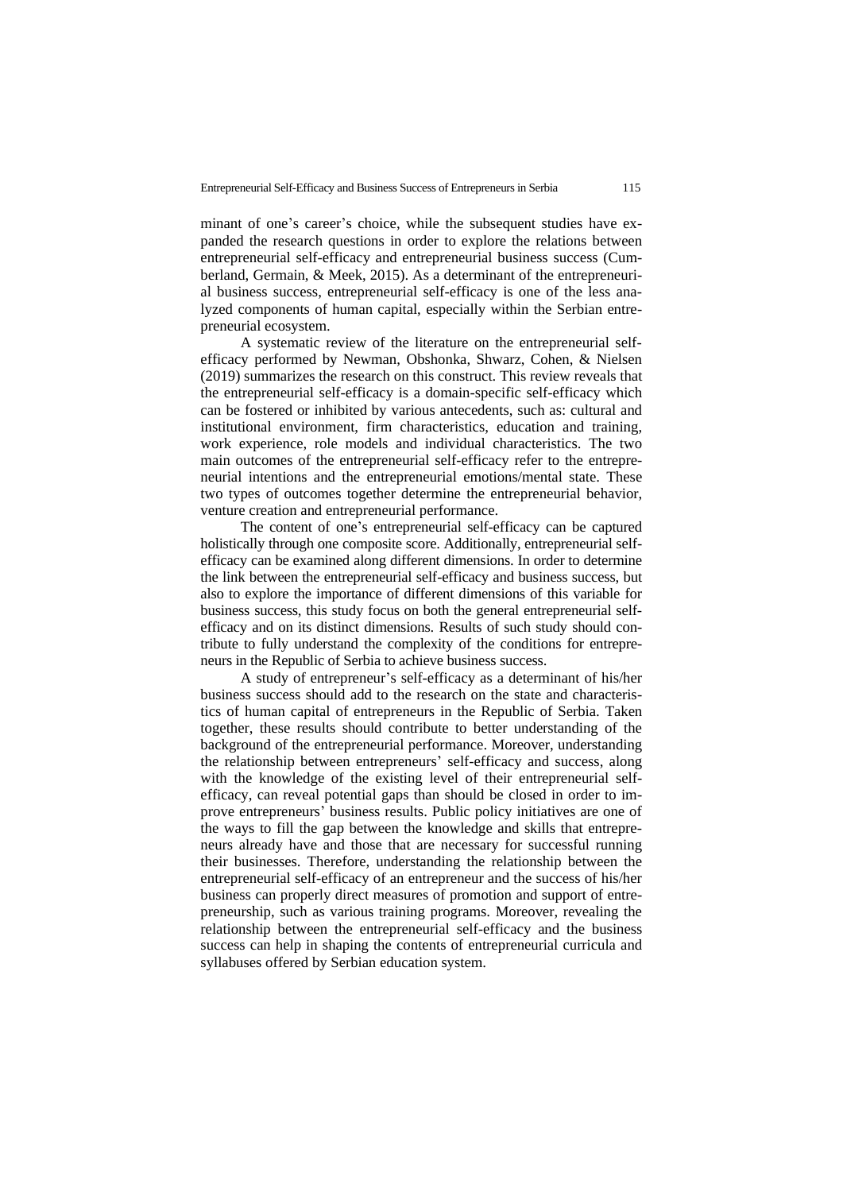minant of one's career's choice, while the subsequent studies have expanded the research questions in order to explore the relations between entrepreneurial self-efficacy and entrepreneurial business success (Cumberland, Germain, & Meek, 2015). As a determinant of the entrepreneurial business success, entrepreneurial self-efficacy is one of the less analyzed components of human capital, especially within the Serbian entrepreneurial ecosystem.

A systematic review of the literature on the entrepreneurial selfefficacy performed by Newman, Obshonka, Shwarz, Cohen, & Nielsen (2019) summarizes the research on this construct. This review reveals that the entrepreneurial self-efficacy is a domain-specific self-efficacy which can be fostered or inhibited by various antecedents, such as: cultural and institutional environment, firm characteristics, education and training, work experience, role models and individual characteristics. The two main outcomes of the entrepreneurial self-efficacy refer to the entrepreneurial intentions and the entrepreneurial emotions/mental state. These two types of outcomes together determine the entrepreneurial behavior, venture creation and entrepreneurial performance.

The content of one's entrepreneurial self-efficacy can be captured holistically through one composite score. Additionally, entrepreneurial selfefficacy can be examined along different dimensions. In order to determine the link between the entrepreneurial self-efficacy and business success, but also to explore the importance of different dimensions of this variable for business success, this study focus on both the general entrepreneurial selfefficacy and on its distinct dimensions. Results of such study should contribute to fully understand the complexity of the conditions for entrepreneurs in the Republic of Serbia to achieve business success.

A study of entrepreneur's self-efficacy as a determinant of his/her business success should add to the research on the state and characteristics of human capital of entrepreneurs in the Republic of Serbia. Taken together, these results should contribute to better understanding of the background of the entrepreneurial performance. Moreover, understanding the relationship between entrepreneurs' self-efficacy and success, along with the knowledge of the existing level of their entrepreneurial selfefficacy, can reveal potential gaps than should be closed in order to improve entrepreneurs' business results. Public policy initiatives are one of the ways to fill the gap between the knowledge and skills that entrepreneurs already have and those that are necessary for successful running their businesses. Therefore, understanding the relationship between the entrepreneurial self-efficacy of an entrepreneur and the success of his/her business can properly direct measures of promotion and support of entrepreneurship, such as various training programs. Moreover, revealing the relationship between the entrepreneurial self-efficacy and the business success can help in shaping the contents of entrepreneurial curricula and syllabuses offered by Serbian education system.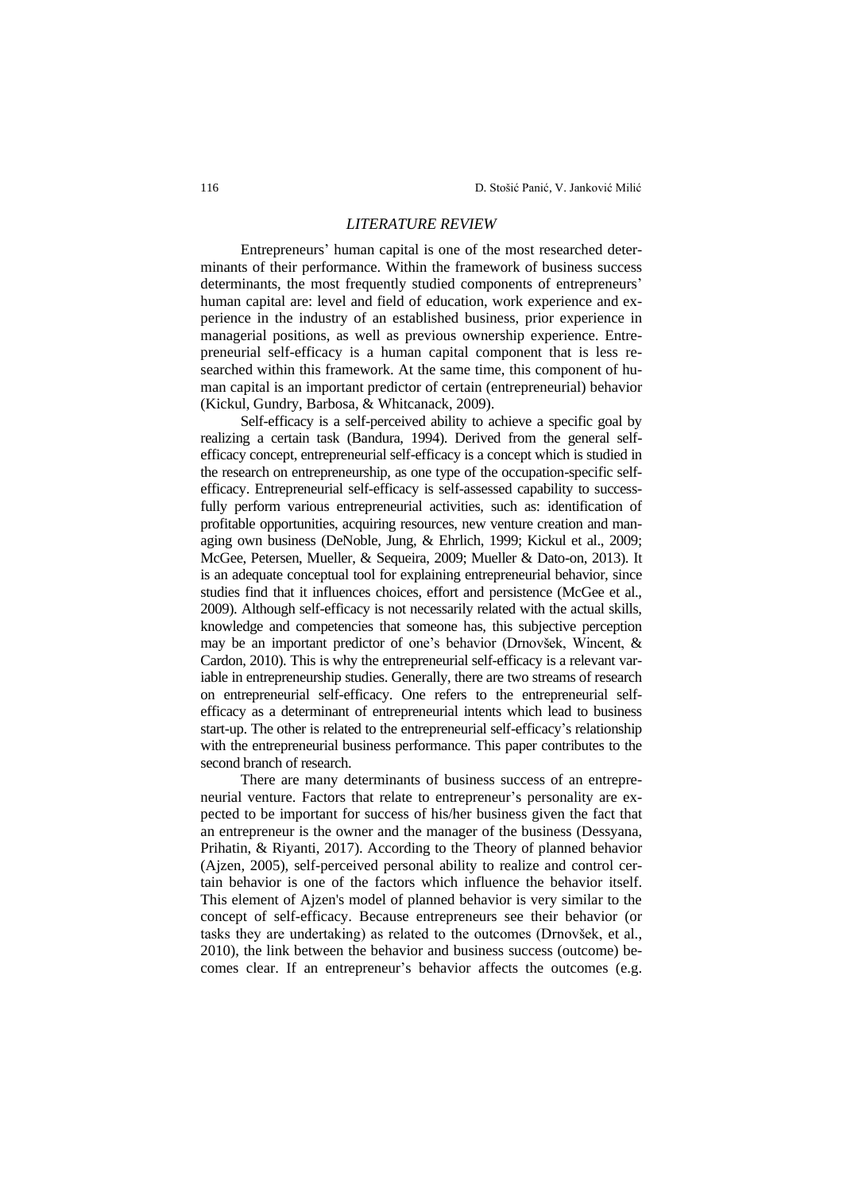## *LITERATURE REVIEW*

Entrepreneurs' human capital is one of the most researched determinants of their performance. Within the framework of business success determinants, the most frequently studied components of entrepreneurs' human capital are: level and field of education, work experience and experience in the industry of an established business, prior experience in managerial positions, as well as previous ownership experience. Entrepreneurial self-efficacy is a human capital component that is less researched within this framework. At the same time, this component of human capital is an important predictor of certain (entrepreneurial) behavior (Kickul, Gundry, Barbosa, & Whitcanack, 2009).

Self-efficacy is a self-perceived ability to achieve a specific goal by realizing a certain task (Bandura, 1994). Derived from the general selfefficacy concept, entrepreneurial self-efficacy is a concept which is studied in the research on entrepreneurship, as one type of the occupation-specific selfefficacy. Entrepreneurial self-efficacy is self-assessed capability to successfully perform various entrepreneurial activities, such as: identification of profitable opportunities, acquiring resources, new venture creation and managing own business (DeNoble, Jung, & Ehrlich, 1999; Kickul et al., 2009; McGee, Petersen, Mueller, & Sequeira, 2009; Mueller & Dato-on, 2013). It is an adequate conceptual tool for explaining entrepreneurial behavior, since studies find that it influences choices, effort and persistence (McGee et al., 2009). Although self-efficacy is not necessarily related with the actual skills, knowledge and competencies that someone has, this subjective perception may be an important predictor of one's behavior (Drnovšek, Wincent, & Cardon, 2010). This is why the entrepreneurial self-efficacy is a relevant variable in entrepreneurship studies. Generally, there are two streams of research on entrepreneurial self-efficacy. One refers to the entrepreneurial selfefficacy as a determinant of entrepreneurial intents which lead to business start-up. The other is related to the entrepreneurial self-efficacy's relationship with the entrepreneurial business performance. This paper contributes to the second branch of research.

There are many determinants of business success of an entrepreneurial venture. Factors that relate to entrepreneur's personality are expected to be important for success of his/her business given the fact that an entrepreneur is the owner and the manager of the business (Dessyana, Prihatin, & Riyanti, 2017). According to the Theory of planned behavior (Ajzen, 2005), self-perceived personal ability to realize and control certain behavior is one of the factors which influence the behavior itself. This element of Ajzen's model of planned behavior is very similar to the concept of self-efficacy. Because entrepreneurs see their behavior (or tasks they are undertaking) as related to the outcomes (Drnovšek, et al., 2010), the link between the behavior and business success (outcome) becomes clear. If an entrepreneur's behavior affects the outcomes (e.g.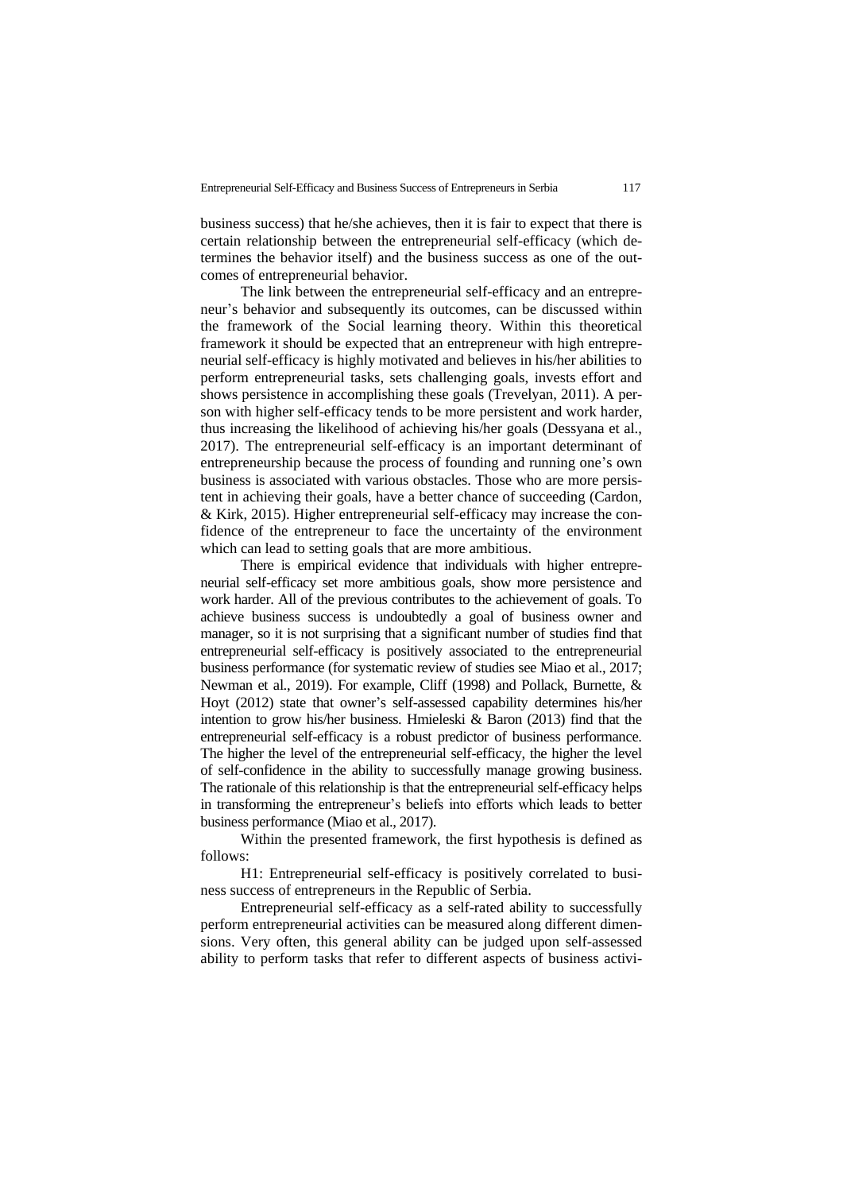business success) that he/she achieves, then it is fair to expect that there is certain relationship between the entrepreneurial self-efficacy (which determines the behavior itself) and the business success as one of the outcomes of entrepreneurial behavior.

The link between the entrepreneurial self-efficacy and an entrepreneur's behavior and subsequently its outcomes, can be discussed within the framework of the Social learning theory. Within this theoretical framework it should be expected that an entrepreneur with high entrepreneurial self-efficacy is highly motivated and believes in his/her abilities to perform entrepreneurial tasks, sets challenging goals, invests effort and shows persistence in accomplishing these goals (Trevelyan, 2011). A person with higher self-efficacy tends to be more persistent and work harder, thus increasing the likelihood of achieving his/her goals (Dessyana et al., 2017). The entrepreneurial self-efficacy is an important determinant of entrepreneurship because the process of founding and running one's own business is associated with various obstacles. Those who are more persistent in achieving their goals, have a better chance of succeeding (Cardon, & Kirk, 2015). Higher entrepreneurial self-efficacy may increase the confidence of the entrepreneur to face the uncertainty of the environment which can lead to setting goals that are more ambitious.

There is empirical evidence that individuals with higher entrepreneurial self-efficacy set more ambitious goals, show more persistence and work harder. All of the previous contributes to the achievement of goals. To achieve business success is undoubtedly a goal of business owner and manager, so it is not surprising that a significant number of studies find that entrepreneurial self-efficacy is positively associated to the entrepreneurial business performance (for systematic review of studies see Miao et al., 2017; Newman et al., 2019). For example, Cliff (1998) and Pollack, Burnette, & Hoyt (2012) state that owner's self-assessed capability determines his/her intention to grow his/her business. Hmieleski & Baron (2013) find that the entrepreneurial self-efficacy is a robust predictor of business performance. The higher the level of the entrepreneurial self-efficacy, the higher the level of self-confidence in the ability to successfully manage growing business. The rationale of this relationship is that the entrepreneurial self-efficacy helps in transforming the entrepreneur's beliefs into efforts which leads to better business performance (Miao et al., 2017).

Within the presented framework, the first hypothesis is defined as follows:

H1: Entrepreneurial self-efficacy is positively correlated to business success of entrepreneurs in the Republic of Serbia.

Entrepreneurial self-efficacy as a self-rated ability to successfully perform entrepreneurial activities can be measured along different dimensions. Very often, this general ability can be judged upon self-assessed ability to perform tasks that refer to different aspects of business activi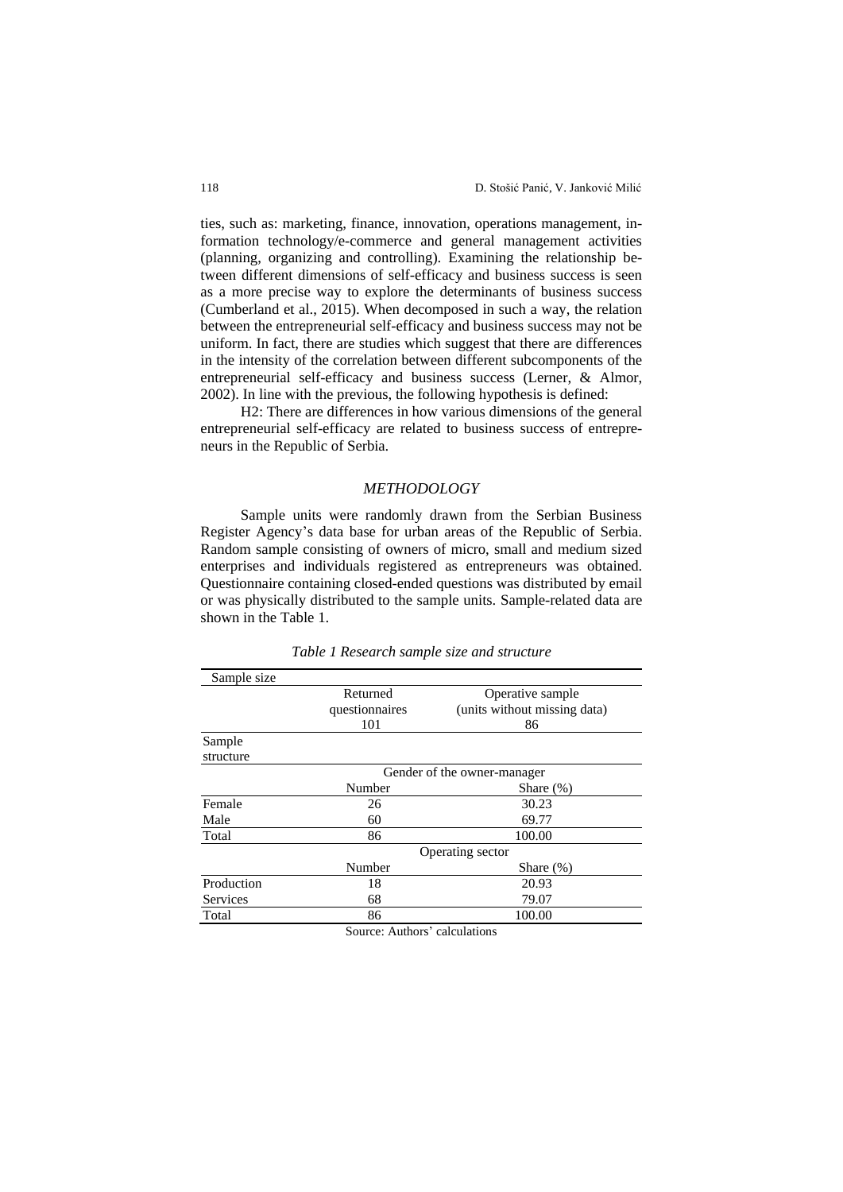ties, such as: marketing, finance, innovation, operations management, information technology/e-commerce and general management activities (planning, organizing and controlling). Examining the relationship between different dimensions of self-efficacy and business success is seen as a more precise way to explore the determinants of business success (Cumberland et al., 2015). When decomposed in such a way, the relation between the entrepreneurial self-efficacy and business success may not be uniform. In fact, there are studies which suggest that there are differences in the intensity of the correlation between different subcomponents of the entrepreneurial self-efficacy and business success (Lerner, & Almor, 2002). In line with the previous, the following hypothesis is defined:

H2: There are differences in how various dimensions of the general entrepreneurial self-efficacy are related to business success of entrepreneurs in the Republic of Serbia.

## *METHODOLOGY*

Sample units were randomly drawn from the Serbian Business Register Agency's data base for urban areas of the Republic of Serbia. Random sample consisting of owners of micro, small and medium sized enterprises and individuals registered as entrepreneurs was obtained. Questionnaire containing closed-ended questions was distributed by email or was physically distributed to the sample units. Sample-related data are shown in the Table 1.

| Sample size     |                             |                              |  |
|-----------------|-----------------------------|------------------------------|--|
|                 | Returned                    | Operative sample             |  |
|                 | questionnaires              | (units without missing data) |  |
|                 | 101                         | 86                           |  |
| Sample          |                             |                              |  |
| structure       |                             |                              |  |
|                 | Gender of the owner-manager |                              |  |
|                 | Number                      | Share $(\%)$                 |  |
| Female          | 26                          | 30.23                        |  |
| Male            | 60                          | 69.77                        |  |
| Total           | 86                          | 100.00                       |  |
|                 | Operating sector            |                              |  |
|                 | Number                      | Share $(\%)$                 |  |
| Production      | 18                          | 20.93                        |  |
| <b>Services</b> | 68                          | 79.07                        |  |
| Total           | 86                          | 100.00                       |  |

*Table 1 Research sample size and structure*

Source: Authors' calculations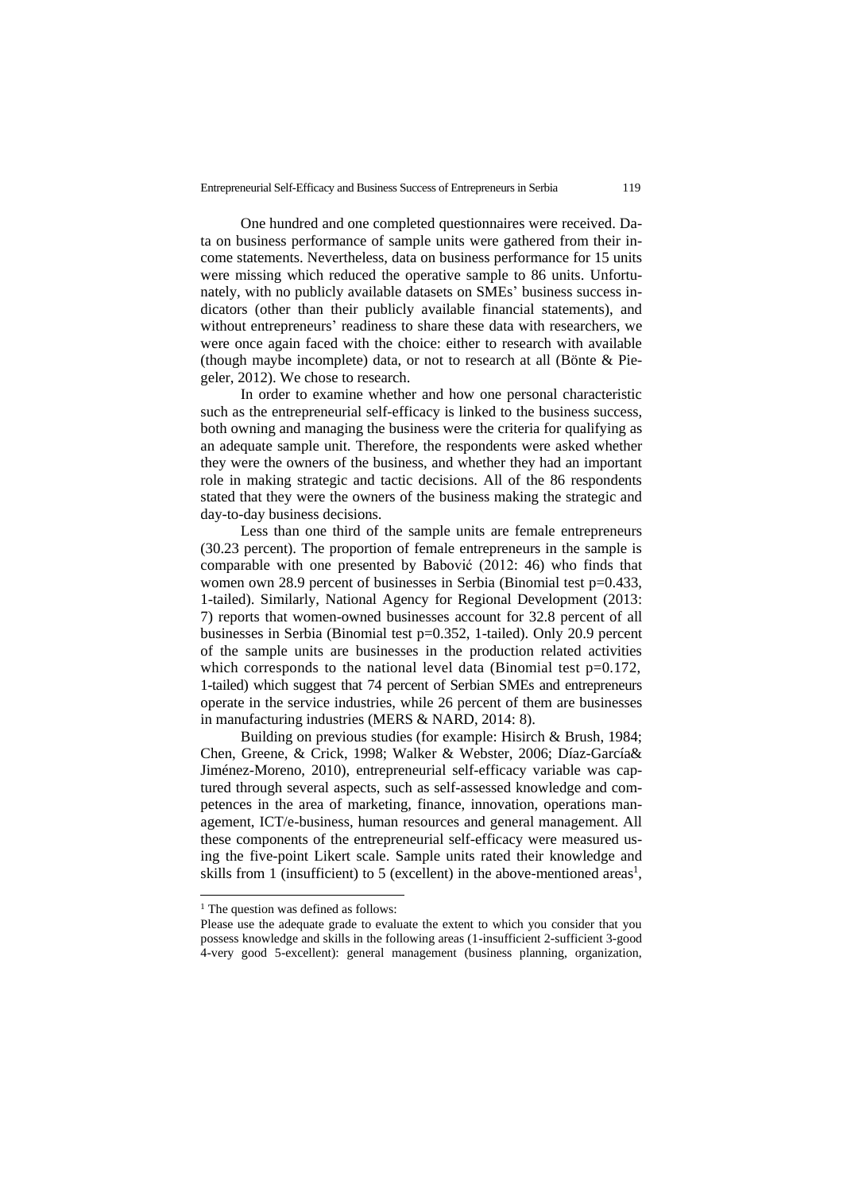One hundred and one completed questionnaires were received. Data on business performance of sample units were gathered from their income statements. Nevertheless, data on business performance for 15 units were missing which reduced the operative sample to 86 units. Unfortunately, with no publicly available datasets on SMEs' business success indicators (other than their publicly available financial statements), and without entrepreneurs' readiness to share these data with researchers, we were once again faced with the choice: either to research with available (though maybe incomplete) data, or not to research at all (Bönte & Piegeler, 2012). We chose to research.

In order to examine whether and how one personal characteristic such as the entrepreneurial self-efficacy is linked to the business success, both owning and managing the business were the criteria for qualifying as an adequate sample unit. Therefore, the respondents were asked whether they were the owners of the business, and whether they had an important role in making strategic and tactic decisions. All of the 86 respondents stated that they were the owners of the business making the strategic and day-to-day business decisions.

Less than one third of the sample units are female entrepreneurs (30.23 percent). The proportion of female entrepreneurs in the sample is comparable with one presented by Babović (2012: 46) who finds that women own 28.9 percent of businesses in Serbia (Binomial test p=0.433, 1-tailed). Similarly, National Agency for Regional Development (2013: 7) reports that women-owned businesses account for 32.8 percent of all businesses in Serbia (Binomial test p=0.352, 1-tailed). Only 20.9 percent of the sample units are businesses in the production related activities which corresponds to the national level data (Binomial test p=0.172, 1-tailed) which suggest that 74 percent of Serbian SMEs and entrepreneurs operate in the service industries, while 26 percent of them are businesses in manufacturing industries (MERS & NARD, 2014: 8).

Building on previous studies (for example: Hisirch & Brush, 1984; Chen, Greene, & Crick, 1998; Walker & Webster, 2006; Díaz-García& Jiménez-Moreno, 2010), entrepreneurial self-efficacy variable was captured through several aspects, such as self-assessed knowledge and competences in the area of marketing, finance, innovation, operations management, ICT/e-business, human resources and general management. All these components of the entrepreneurial self-efficacy were measured using the five-point Likert scale. Sample units rated their knowledge and skills from 1 (insufficient) to 5 (excellent) in the above-mentioned areas<sup>1</sup>,

<sup>&</sup>lt;sup>1</sup> The question was defined as follows:

Please use the adequate grade to evaluate the extent to which you consider that you possess knowledge and skills in the following areas (1-insufficient 2-sufficient 3-good 4-very good 5-excellent): general management (business planning, organization,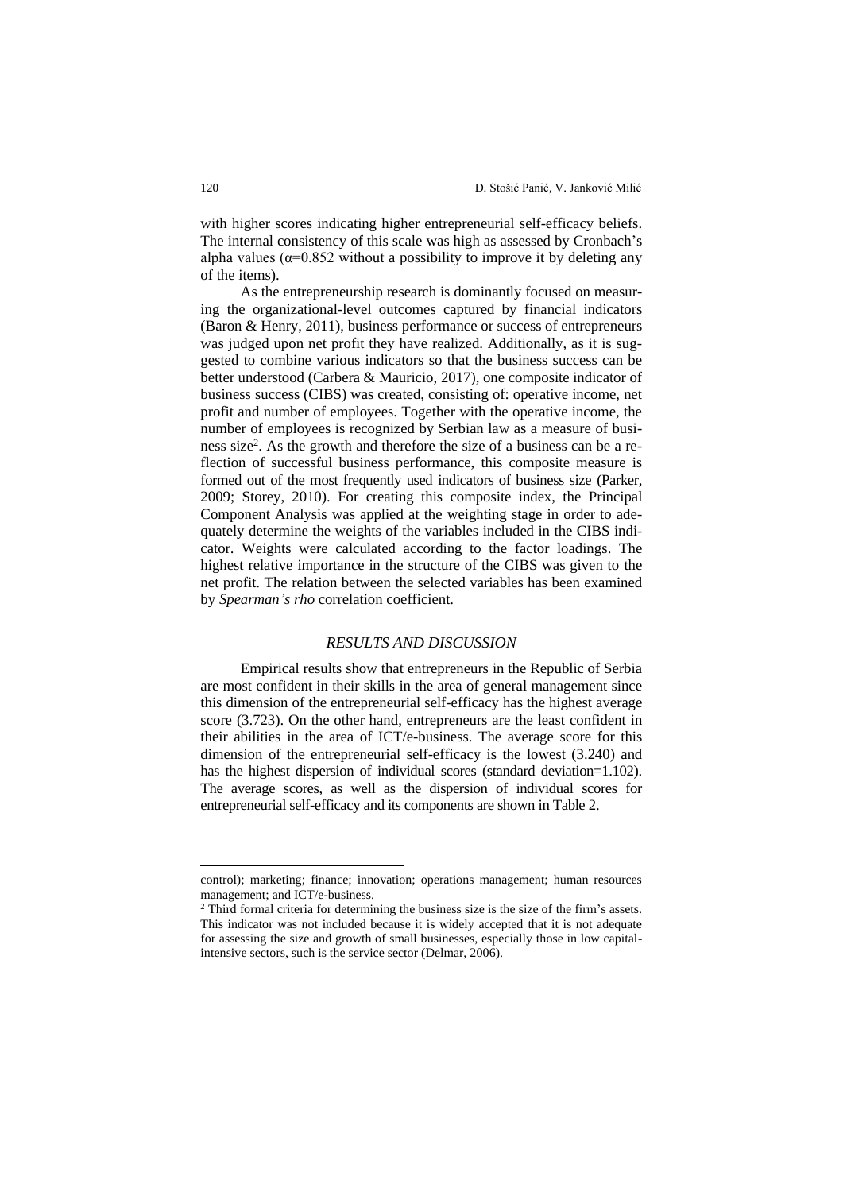with higher scores indicating higher entrepreneurial self-efficacy beliefs. The internal consistency of this scale was high as assessed by Cronbach's alpha values ( $\alpha$ =0.852 without a possibility to improve it by deleting any of the items).

As the entrepreneurship research is dominantly focused on measuring the organizational-level outcomes captured by financial indicators (Baron & Henry, 2011), business performance or success of entrepreneurs was judged upon net profit they have realized. Additionally, as it is suggested to combine various indicators so that the business success can be better understood (Carbera & Mauricio, 2017), one composite indicator of business success (CIBS) was created, consisting of: operative income, net profit and number of employees. Together with the operative income, the number of employees is recognized by Serbian law as a measure of business size<sup>2</sup> . As the growth and therefore the size of a business can be a reflection of successful business performance, this composite measure is formed out of the most frequently used indicators of business size (Parker, 2009; Storey, 2010). For creating this composite index, the Principal Component Analysis was applied at the weighting stage in order to adequately determine the weights of the variables included in the CIBS indicator. Weights were calculated according to the factor loadings. The highest relative importance in the structure of the CIBS was given to the net profit. The relation between the selected variables has been examined by *Spearman's rho* correlation coefficient.

## *RESULTS AND DISCUSSION*

Empirical results show that entrepreneurs in the Republic of Serbia are most confident in their skills in the area of general management since this dimension of the entrepreneurial self-efficacy has the highest average score (3.723). On the other hand, entrepreneurs are the least confident in their abilities in the area of ICT/e-business. The average score for this dimension of the entrepreneurial self-efficacy is the lowest (3.240) and has the highest dispersion of individual scores (standard deviation=1.102). The average scores, as well as the dispersion of individual scores for entrepreneurial self-efficacy and its components are shown in Table 2.

control); marketing; finance; innovation; operations management; human resources management; and ICT/e-business.

<sup>2</sup> Third formal criteria for determining the business size is the size of the firm's assets. This indicator was not included because it is widely accepted that it is not adequate for assessing the size and growth of small businesses, especially those in low capitalintensive sectors, such is the service sector (Delmar, 2006).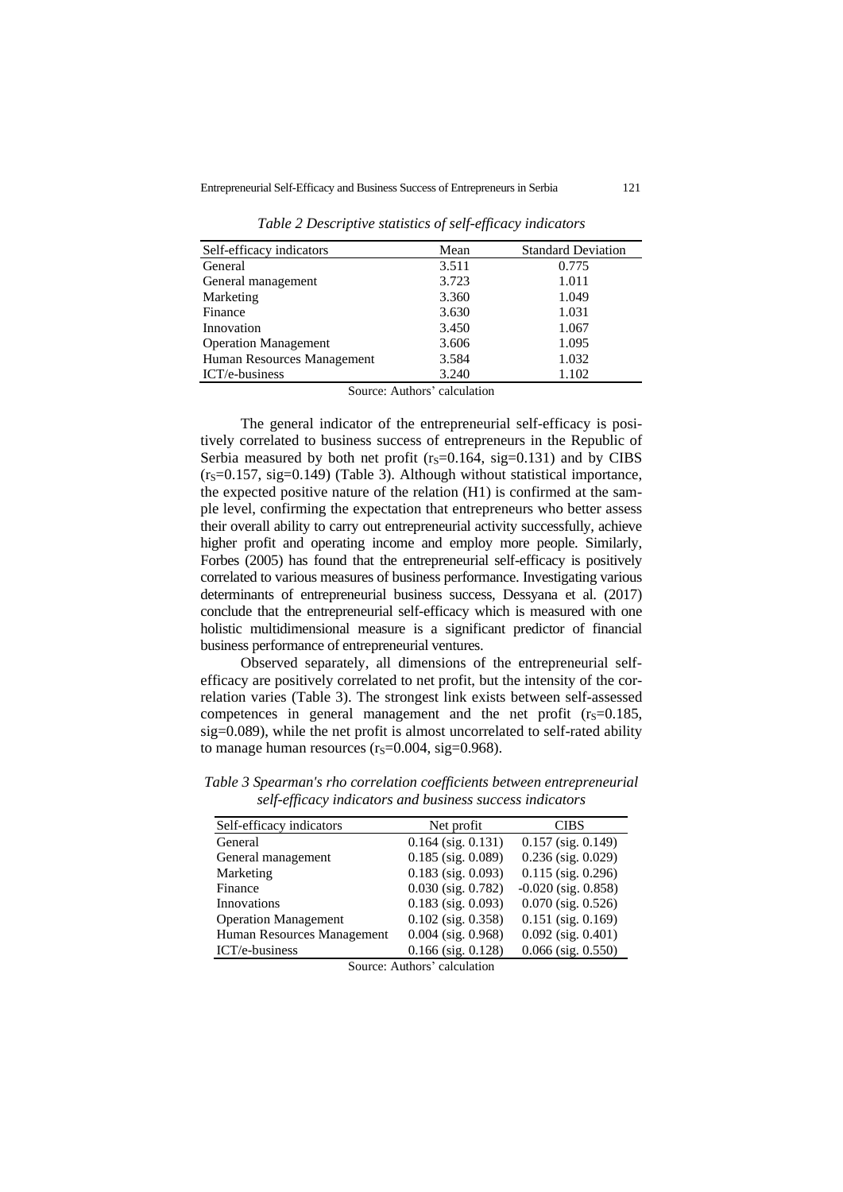| Self-efficacy indicators    | Mean  | <b>Standard Deviation</b> |
|-----------------------------|-------|---------------------------|
| General                     | 3.511 | 0.775                     |
| General management          | 3.723 | 1.011                     |
| Marketing                   | 3.360 | 1.049                     |
| Finance                     | 3.630 | 1.031                     |
| Innovation                  | 3.450 | 1.067                     |
| <b>Operation Management</b> | 3.606 | 1.095                     |
| Human Resources Management  | 3.584 | 1.032                     |
| ICT/e-business              | 3.240 | 1.102                     |

*Table 2 Descriptive statistics of self-efficacy indicators*

Source: Authors' calculation

The general indicator of the entrepreneurial self-efficacy is positively correlated to business success of entrepreneurs in the Republic of Serbia measured by both net profit ( $r_s$ =0.164, sig=0.131) and by CIBS  $(r<sub>S</sub>=0.157, sig=0.149)$  (Table 3). Although without statistical importance, the expected positive nature of the relation (H1) is confirmed at the sample level, confirming the expectation that entrepreneurs who better assess their overall ability to carry out entrepreneurial activity successfully, achieve higher profit and operating income and employ more people. Similarly, Forbes (2005) has found that the entrepreneurial self-efficacy is positively correlated to various measures of business performance. Investigating various determinants of entrepreneurial business success, Dessyana et al. (2017) conclude that the entrepreneurial self-efficacy which is measured with one holistic multidimensional measure is a significant predictor of financial business performance of entrepreneurial ventures.

Observed separately, all dimensions of the entrepreneurial selfefficacy are positively correlated to net profit, but the intensity of the correlation varies (Table 3). The strongest link exists between self-assessed competences in general management and the net profit  $(r<sub>S</sub>=0.185,$ sig=0.089), while the net profit is almost uncorrelated to self-rated ability to manage human resources  $(r<sub>S</sub>=0.004, sig=0.968)$ .

| Self-efficacy indicators    | Net profit              | <b>CIBS</b>             |
|-----------------------------|-------------------------|-------------------------|
| General                     | $0.164$ (sig. $0.131$ ) | $0.157$ (sig. $0.149$ ) |
| General management          | $0.185$ (sig. $0.089$ ) | $0.236$ (sig. $0.029$ ) |
| Marketing                   | $0.183$ (sig. $0.093$ ) | $0.115$ (sig. 0.296)    |
| Finance                     | $0.030$ (sig. $0.782$ ) | $-0.020$ (sig. 0.858)   |
| Innovations                 | $0.183$ (sig. $0.093$ ) | $0.070$ (sig. $0.526$ ) |
| <b>Operation Management</b> | $0.102$ (sig. 0.358)    | $0.151$ (sig. $0.169$ ) |
| Human Resources Management  | $0.004$ (sig. 0.968)    | $0.092$ (sig. $0.401$ ) |
| ICT/e-business              | $0.166$ (sig. $0.128$ ) | $0.066$ (sig. $0.550$ ) |

*Table 3 Spearman's rho correlation coefficients between entrepreneurial self-efficacy indicators and business success indicators*

Source: Authors' calculation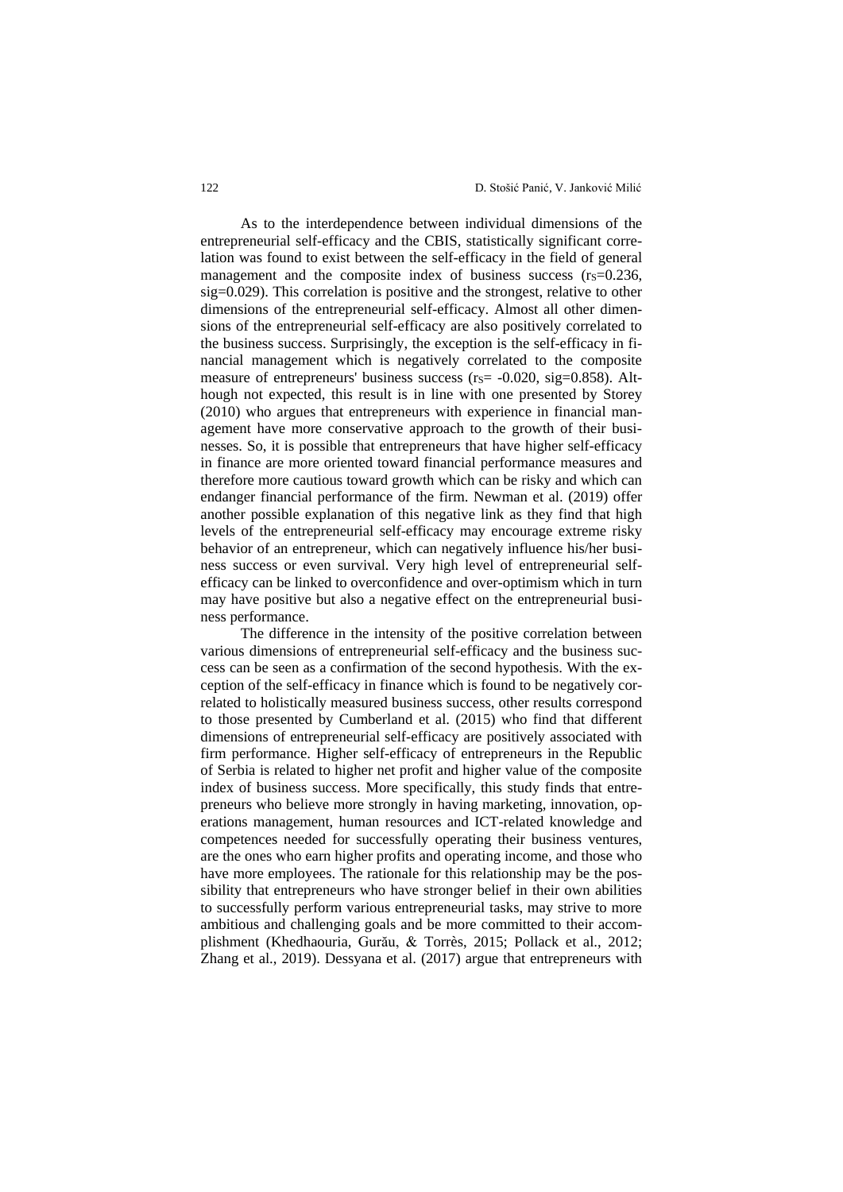As to the interdependence between individual dimensions of the entrepreneurial self-efficacy and the CBIS, statistically significant correlation was found to exist between the self-efficacy in the field of general management and the composite index of business success  $(r<sub>S</sub>=0.236)$ , sig=0.029). This correlation is positive and the strongest, relative to other dimensions of the entrepreneurial self-efficacy. Almost all other dimensions of the entrepreneurial self-efficacy are also positively correlated to the business success. Surprisingly, the exception is the self-efficacy in financial management which is negatively correlated to the composite measure of entrepreneurs' business success ( $r_s$ = -0.020, sig=0.858). Although not expected, this result is in line with one presented by Storey (2010) who argues that entrepreneurs with experience in financial management have more conservative approach to the growth of their businesses. So, it is possible that entrepreneurs that have higher self-efficacy in finance are more oriented toward financial performance measures and therefore more cautious toward growth which can be risky and which can endanger financial performance of the firm. Newman et al. (2019) offer another possible explanation of this negative link as they find that high levels of the entrepreneurial self-efficacy may encourage extreme risky behavior of an entrepreneur, which can negatively influence his/her business success or even survival. Very high level of entrepreneurial selfefficacy can be linked to overconfidence and over-optimism which in turn may have positive but also a negative effect on the entrepreneurial business performance.

The difference in the intensity of the positive correlation between various dimensions of entrepreneurial self-efficacy and the business success can be seen as a confirmation of the second hypothesis. With the exception of the self-efficacy in finance which is found to be negatively correlated to holistically measured business success, other results correspond to those presented by Cumberland et al. (2015) who find that different dimensions of entrepreneurial self-efficacy are positively associated with firm performance. Higher self-efficacy of entrepreneurs in the Republic of Serbia is related to higher net profit and higher value of the composite index of business success. More specifically, this study finds that entrepreneurs who believe more strongly in having marketing, innovation, operations management, human resources and ICT-related knowledge and competences needed for successfully operating their business ventures, are the ones who earn higher profits and operating income, and those who have more employees. The rationale for this relationship may be the possibility that entrepreneurs who have stronger belief in their own abilities to successfully perform various entrepreneurial tasks, may strive to more ambitious and challenging goals and be more committed to their accomplishment (Khedhaouria, Gurău, & Torrès, 2015; Pollack et al., 2012; Zhang et al., 2019). Dessyana et al. (2017) argue that entrepreneurs with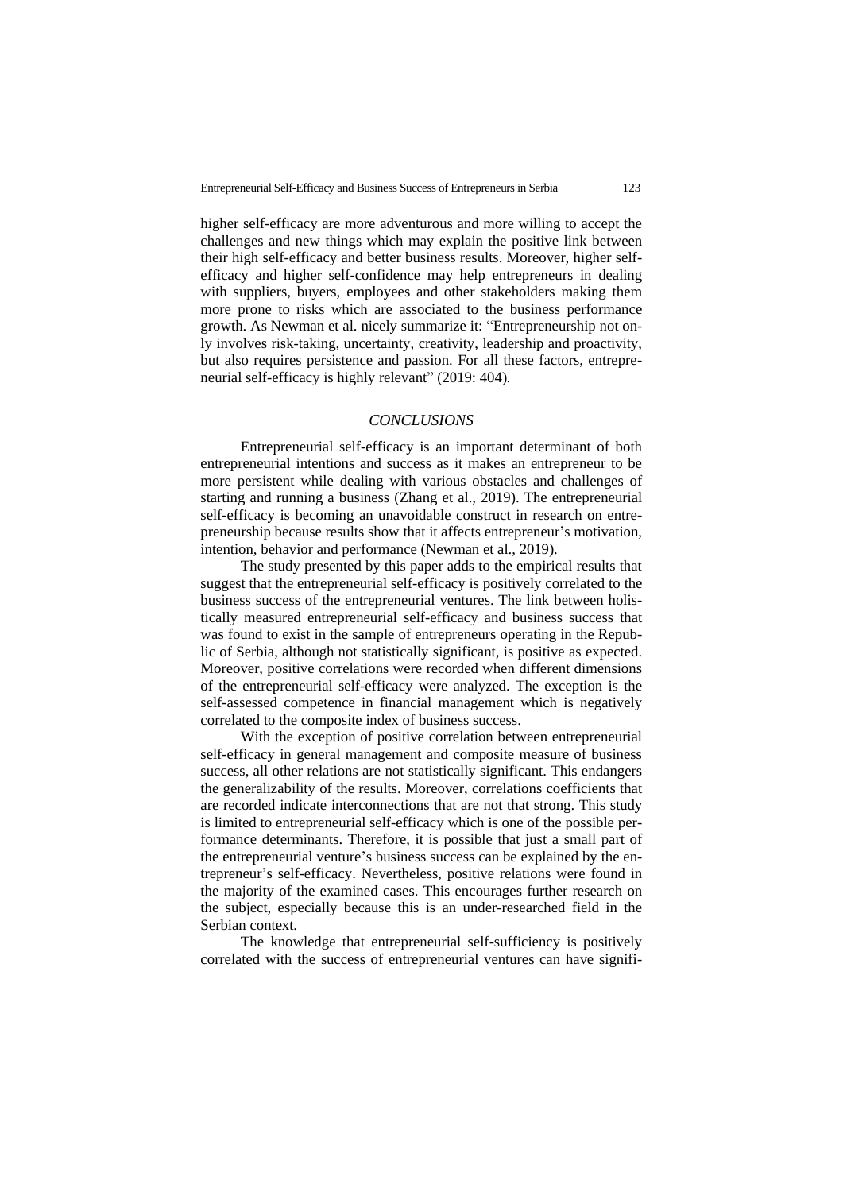higher self-efficacy are more adventurous and more willing to accept the challenges and new things which may explain the positive link between their high self-efficacy and better business results. Moreover, higher selfefficacy and higher self-confidence may help entrepreneurs in dealing with suppliers, buyers, employees and other stakeholders making them more prone to risks which are associated to the business performance growth. As Newman et al. nicely summarize it: "Entrepreneurship not only involves risk-taking, uncertainty, creativity, leadership and proactivity, but also requires persistence and passion. For all these factors, entrepreneurial self-efficacy is highly relevant" (2019: 404)*.* 

## *CONCLUSIONS*

Entrepreneurial self-efficacy is an important determinant of both entrepreneurial intentions and success as it makes an entrepreneur to be more persistent while dealing with various obstacles and challenges of starting and running a business (Zhang et al., 2019). The entrepreneurial self-efficacy is becoming an unavoidable construct in research on entrepreneurship because results show that it affects entrepreneur's motivation, intention, behavior and performance (Newman et al., 2019).

The study presented by this paper adds to the empirical results that suggest that the entrepreneurial self-efficacy is positively correlated to the business success of the entrepreneurial ventures. The link between holistically measured entrepreneurial self-efficacy and business success that was found to exist in the sample of entrepreneurs operating in the Republic of Serbia, although not statistically significant, is positive as expected. Moreover, positive correlations were recorded when different dimensions of the entrepreneurial self-efficacy were analyzed. The exception is the self-assessed competence in financial management which is negatively correlated to the composite index of business success.

With the exception of positive correlation between entrepreneurial self-efficacy in general management and composite measure of business success, all other relations are not statistically significant. This endangers the generalizability of the results. Moreover, correlations coefficients that are recorded indicate interconnections that are not that strong. This study is limited to entrepreneurial self-efficacy which is one of the possible performance determinants. Therefore, it is possible that just a small part of the entrepreneurial venture's business success can be explained by the entrepreneur's self-efficacy. Nevertheless, positive relations were found in the majority of the examined cases. This encourages further research on the subject, especially because this is an under-researched field in the Serbian context.

The knowledge that entrepreneurial self-sufficiency is positively correlated with the success of entrepreneurial ventures can have signifi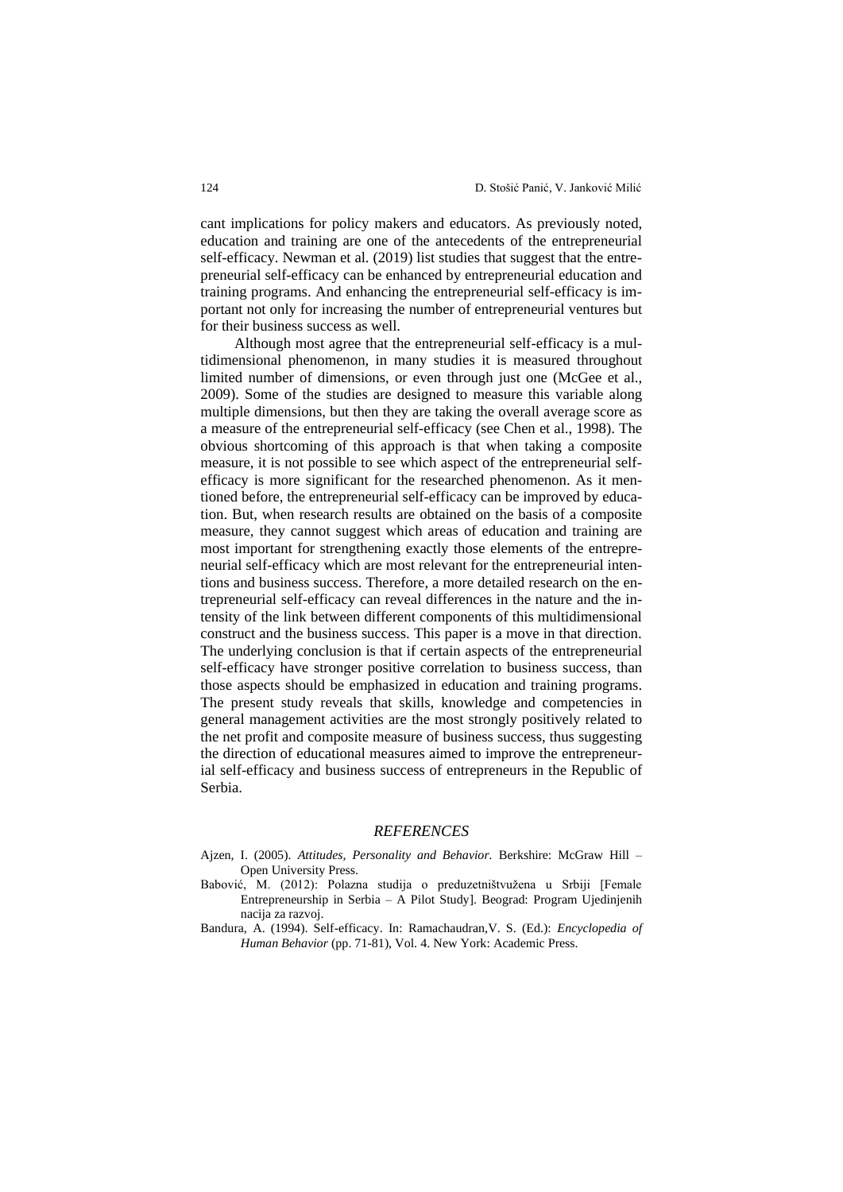cant implications for policy makers and educators. As previously noted, education and training are one of the antecedents of the entrepreneurial self-efficacy. Newman et al. (2019) list studies that suggest that the entrepreneurial self-efficacy can be enhanced by entrepreneurial education and training programs. And enhancing the entrepreneurial self-efficacy is important not only for increasing the number of entrepreneurial ventures but for their business success as well.

Although most agree that the entrepreneurial self-efficacy is a multidimensional phenomenon, in many studies it is measured throughout limited number of dimensions, or even through just one (McGee et al., 2009). Some of the studies are designed to measure this variable along multiple dimensions, but then they are taking the overall average score as a measure of the entrepreneurial self-efficacy (see Chen et al., 1998). The obvious shortcoming of this approach is that when taking a composite measure, it is not possible to see which aspect of the entrepreneurial selfefficacy is more significant for the researched phenomenon. As it mentioned before, the entrepreneurial self-efficacy can be improved by education. But, when research results are obtained on the basis of a composite measure, they cannot suggest which areas of education and training are most important for strengthening exactly those elements of the entrepreneurial self-efficacy which are most relevant for the entrepreneurial intentions and business success. Therefore, a more detailed research on the entrepreneurial self-efficacy can reveal differences in the nature and the intensity of the link between different components of this multidimensional construct and the business success. This paper is a move in that direction. The underlying conclusion is that if certain aspects of the entrepreneurial self-efficacy have stronger positive correlation to business success, than those aspects should be emphasized in education and training programs. The present study reveals that skills, knowledge and competencies in general management activities are the most strongly positively related to the net profit and composite measure of business success, thus suggesting the direction of educational measures aimed to improve the entrepreneurial self-efficacy and business success of entrepreneurs in the Republic of Serbia.

## *REFERENCES*

- Ajzen, I. (2005). *Attitudes, Personality and Behavior.* Berkshire: McGraw Hill Open University Press.
- Babović, M. (2012): Polazna studija o preduzetništvužena u Srbiji [Female Entrepreneurship in Serbia – A Pilot Study]. Beograd: Program Ujedinjenih nacija za razvoj.
- Bandura, A. (1994). Self-efficacy. In: Ramachaudran,V. S. (Ed.): *Encyclopedia of Human Behavior* (pp. 71-81), Vol. 4. New York: Academic Press.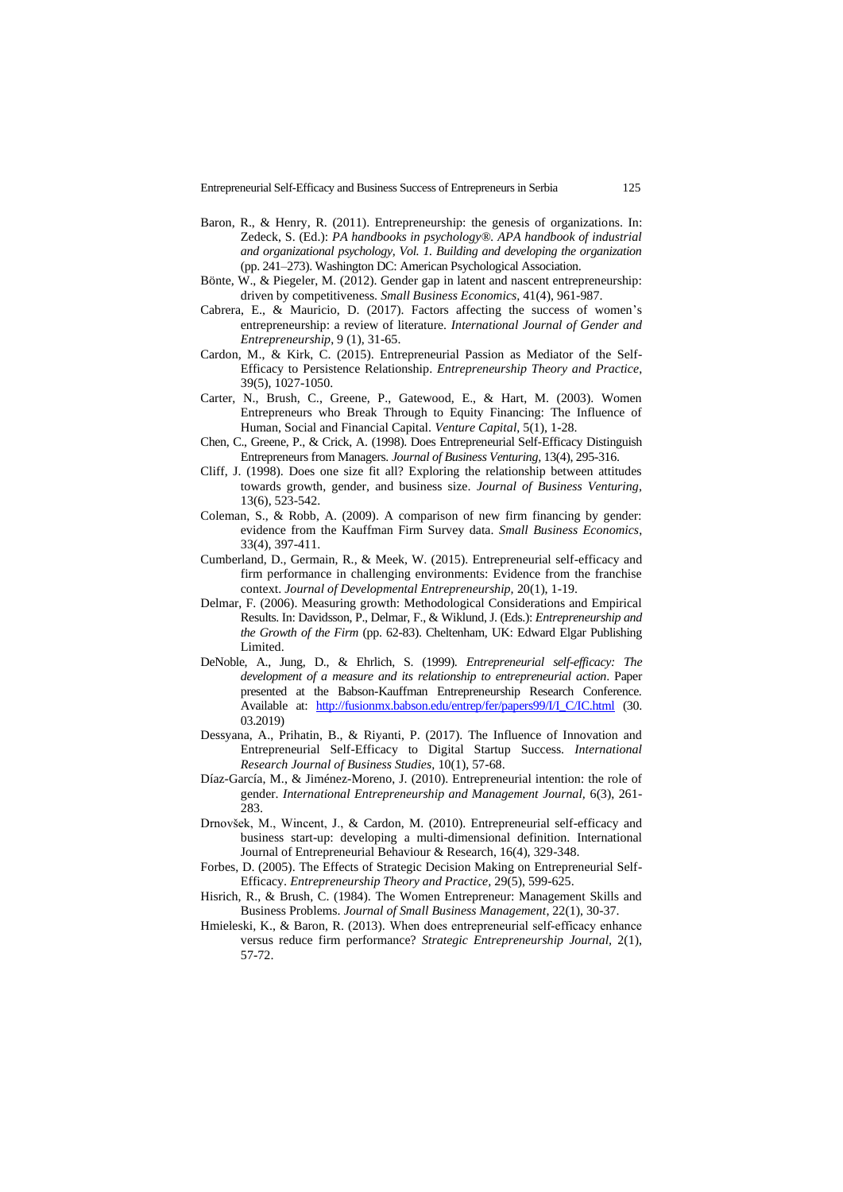- Baron, R., & Henry, R. (2011). Entrepreneurship: the genesis of organizations. In: Zedeck, S. (Ed.): *PA handbooks in psychology®. APA handbook of industrial and organizational psychology, Vol. 1. Building and developing the organization* (pp. 241–273). Washington DC: American Psychological Association.
- Bönte, W., & Piegeler, M. (2012). Gender gap in latent and nascent entrepreneurship: driven by competitiveness. *Small Business Economics,* 41(4), 961-987.
- Cabrera, E., & Mauricio, D. (2017). Factors affecting the success of women's entrepreneurship: a review of literature. *International Journal of Gender and Entrepreneurship*, 9 (1), 31-65.
- Cardon, M., & Kirk, C. (2015). Entrepreneurial Passion as Mediator of the Self-Efficacy to Persistence Relationship. *Entrepreneurship Theory and Practice*, 39(5), 1027-1050.
- Carter, N., Brush, C., Greene, P., Gatewood, E., & Hart, M. (2003). Women Entrepreneurs who Break Through to Equity Financing: The Influence of Human, Social and Financial Capital. *Venture Capital*, 5(1), 1-28.
- Chen, C., Greene, P., & Crick, A. (1998). Does Entrepreneurial Self-Efficacy Distinguish Entrepreneurs from Managers. *Journal of Business Venturing,* 13(4), 295-316.
- Cliff, J. (1998). Does one size fit all? Exploring the relationship between attitudes towards growth, gender, and business size. *Journal of Business Venturing*, 13(6), 523-542.
- Coleman, S., & Robb, A. (2009). A comparison of new firm financing by gender: evidence from the Kauffman Firm Survey data. *Small Business Economics*, 33(4), 397-411.
- Cumberland, D., Germain, R., & Meek, W. (2015). Entrepreneurial self-efficacy and firm performance in challenging environments: Evidence from the franchise context. *Journal of Developmental Entrepreneurship,* 20(1), 1-19.
- Delmar, F. (2006). Measuring growth: Methodological Considerations and Empirical Results. In: Davidsson, P., Delmar, F., & Wiklund, J. (Eds.): *Entrepreneurship and the Growth of the Firm* (pp. 62-83). Cheltenham, UK: Edward Elgar Publishing Limited.
- DeNoble, A., Jung, D., & Ehrlich, S. (1999). *Entrepreneurial self-efficacy: The development of a measure and its relationship to entrepreneurial action*. Paper presented at the Babson-Kauffman Entrepreneurship Research Conference. Available at: [http://fusionmx.babson.edu/entrep/fer/papers99/I/I\\_C/IC.html](http://fusionmx.babson.edu/entrep/fer/papers99/I/I_C/IC.html) (30. 03.2019)
- Dessyana, A., Prihatin, B., & Riyanti, P. (2017). The Influence of Innovation and Entrepreneurial Self-Efficacy to Digital Startup Success. *International Research Journal of Business Studies,* 10(1), 57-68.
- Díaz-García, M., & Jiménez-Moreno, J. (2010). Entrepreneurial intention: the role of gender. *International Entrepreneurship and Management Journal,* 6(3), 261- 283.
- Drnovšek, M., Wincent, J., & Cardon, M. (2010). Entrepreneurial self-efficacy and business start-up: developing a multi-dimensional definition. International Journal of Entrepreneurial Behaviour & Research, 16(4), 329-348.
- Forbes, D. (2005). The Effects of Strategic Decision Making on Entrepreneurial Self-Efficacy. *Entrepreneurship Theory and Practice,* 29(5), 599-625.
- Hisrich, R., & Brush, C. (1984). The Women Entrepreneur: Management Skills and Business Problems. *Journal of Small Business Management*, 22(1), 30-37.
- Hmieleski, K., & Baron, R. (2013). When does entrepreneurial self-efficacy enhance versus reduce firm performance? *Strategic Entrepreneurship Journal,* 2(1), 57-72.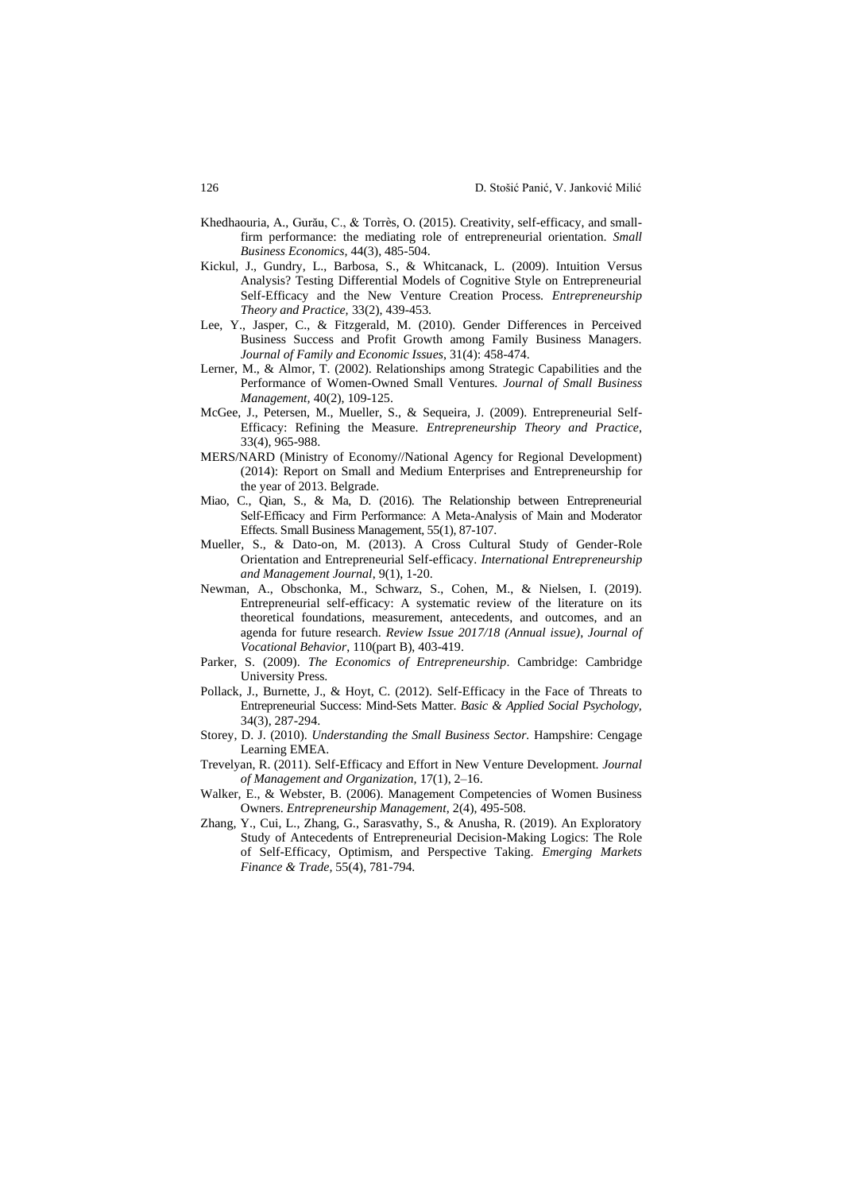- Khedhaouria, A., Gurău, C., & Torrès, O. (2015). Creativity, self-efficacy, and smallfirm performance: the mediating role of entrepreneurial orientation. *Small Business Economics,* 44(3), 485-504.
- Kickul, J., Gundry, L., Barbosa, S., & Whitcanack, L. (2009). Intuition Versus Analysis? Testing Differential Models of Cognitive Style on Entrepreneurial Self-Efficacy and the New Venture Creation Process. *Entrepreneurship Theory and Practice,* 33(2), 439-453.
- Lee, Y., Jasper, C., & Fitzgerald, M. (2010). Gender Differences in Perceived Business Success and Profit Growth among Family Business Managers. *Journal of Family and Economic Issues*, 31(4): 458-474.
- Lerner, M., & Almor, T. (2002). Relationships among Strategic Capabilities and the Performance of Women-Owned Small Ventures. *Journal of Small Business Management,* 40(2), 109-125.
- McGee, J., Petersen, M., Mueller, S., & Sequeira, J. (2009). Entrepreneurial Self-Efficacy: Refining the Measure. *Entrepreneurship Theory and Practice*, 33(4), 965-988.
- MERS/NARD (Ministry of Economy//National Agency for Regional Development) (2014): Report on Small and Medium Enterprises and Entrepreneurship for the year of 2013. Belgrade.
- Miao, C., Qian, S., & Ma, D. (2016). The Relationship between Entrepreneurial Self‐Efficacy and Firm Performance: A Meta‐Analysis of Main and Moderator Effects. Small Business Management, 55(1), 87-107.
- Mueller, S., & Dato-on, M. (2013). A Cross Cultural Study of Gender-Role Orientation and Entrepreneurial Self-efficacy. *International Entrepreneurship and Management Journal*, 9(1), 1-20.
- Newman, A., Obschonka, M., Schwarz, S., Cohen, M., & Nielsen, I. (2019). Entrepreneurial self-efficacy: A systematic review of the literature on its theoretical foundations, measurement, antecedents, and outcomes, and an agenda for future research. *Review Issue 2017/18 (Annual issue)*, *Journal of Vocational Behavior*, 110(part B), 403-419.
- Parker, S. (2009). *The Economics of Entrepreneurship*. Cambridge: Cambridge University Press.
- Pollack, J., Burnette, J., & Hoyt, C. (2012). Self-Efficacy in the Face of Threats to Entrepreneurial Success: Mind-Sets Matter. *Basic & Applied Social Psychology,* 34(3), 287-294.
- Storey, D. J. (2010). *Understanding the Small Business Sector.* Hampshire: Cengage Learning EMEA.
- Trevelyan, R. (2011). Self-Efficacy and Effort in New Venture Development. *Journal of Management and Organization,* 17(1), 2–16.
- Walker, E., & Webster, B. (2006). Management Competencies of Women Business Owners. *Entrepreneurship Management*, 2(4), 495-508.
- Zhang, Y., Cui, L., Zhang, G., Sarasvathy, S., & Anusha, R. (2019). An Exploratory Study of Antecedents of Entrepreneurial Decision-Making Logics: The Role of Self-Efficacy, Optimism, and Perspective Taking. *Emerging Markets Finance & Trade,* 55(4), 781-794.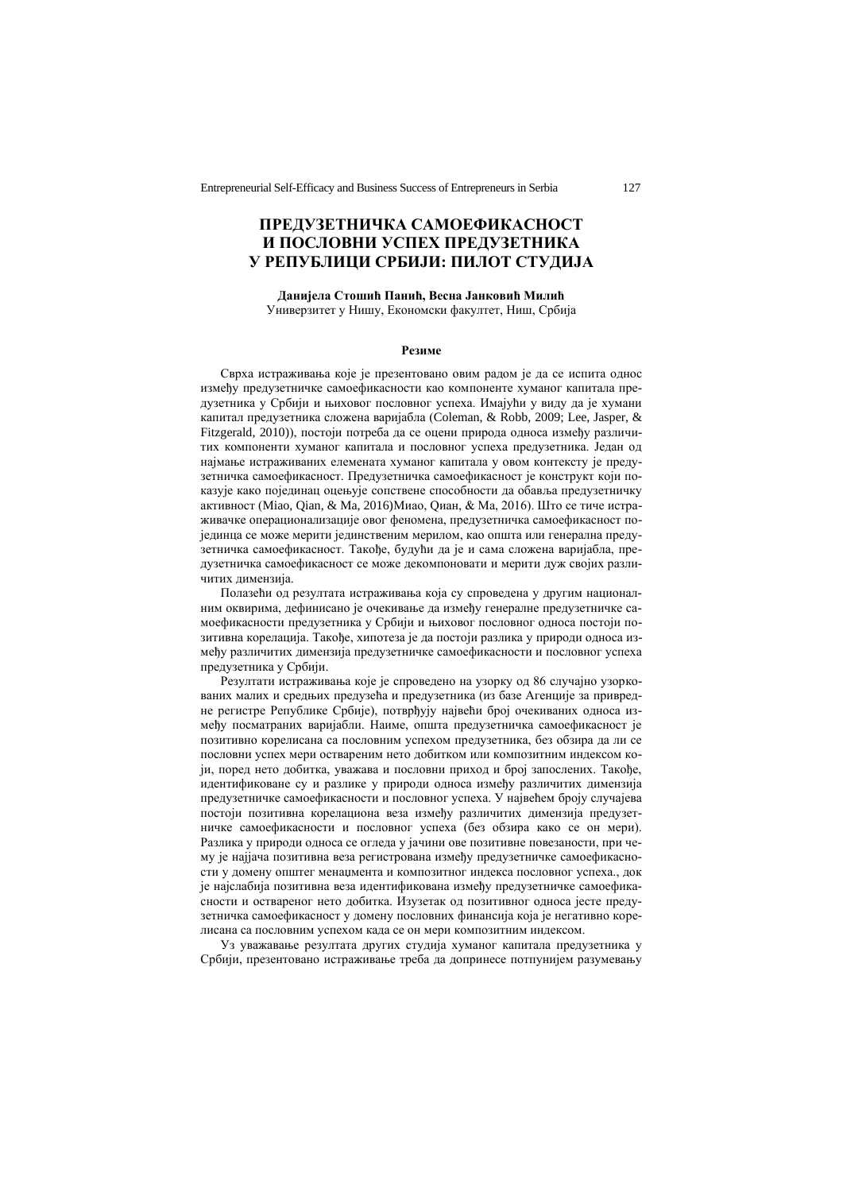# **ПРЕДУЗЕТНИЧКА САМОЕФИКАСНОСТ И ПОСЛОВНИ УСПЕХ ПРЕДУЗЕТНИКА У РЕПУБЛИЦИ СРБИЈИ: ПИЛОТ СТУДИЈА**

## **Данијела Стошић Панић, Весна Јанковић Милић**

Универзитет у Нишу, Економски факултет, Ниш, Србија

### **Резиме**

Сврха истраживања које је презентовано овим радом је да се испита однос између предузетничке самоефикасности као компоненте хуманог капитала предузетника у Србији и њиховог пословног успеха. Имајући у виду да је хумани капитал предузетника сложена варијабла (Coleman, & Robb, 2009; Lee, Jasper, & Fitzgerald, 2010)), постоји потреба да се оцени природа односа између различитих компоненти хуманог капитала и пословног успеха предузетника. Један од најмање истраживаних елемената хуманог капитала у овом контексту је предузетничка самоефикасност. Предузетничка самоефикасност је конструкт који показује како појединац оцењује сопствене способности да обавља предузетничку активност (Miao, Qian, & Ma, 2016)Миао, Qиан, & Ма, 2016). Што се тиче истраживачке операционализације овог феномена, предузетничка самоефикасност појединца се може мерити јединственим мерилом, као општа или генерална предузетничка самоефикасност. Такође, будући да је и сама сложена варијабла, предузетничка самоефикасност се може декомпоновати и мерити дуж својих различитих димензија.

Полазећи од резултата истраживања која су спроведена у другим националним оквирима, дефинисано је очекивање да између генералне предузетничке самоефикасности предузетника у Србији и њиховог пословног односа постоји позитивна корелација. Такође, хипотеза је да постоји разлика у природи односа између различитих димензија предузетничке самоефикасности и пословног успеха предузетника у Србији.

Резултати истраживања које је спроведено на узорку од 86 случајно узоркованих малих и средњих предузећа и предузетника (из базе Агенције за привредне регистре Републике Србије), потврђују највећи број очекиваних односа између посматраних варијабли. Наиме, општа предузетничка самоефикасност је позитивно корелисана са пословним успехом предузетника, без обзира да ли се пословни успех мери оствареним нето добитком или композитним индексом који, поред нето добитка, уважава и пословни приход и број запослених. Такође, идентификоване су и разлике у природи односа између различитих димензија предузетничке самоефикасности и пословног успеха. У највећем броју случајева постоји позитивна корелациона веза између различитих димензија предузетничке самоефикасности и пословног успеха (без обзира како се он мери). Разлика у природи односа се огледа у јачини ове позитивне повезаности, при чему је најјача позитивна веза регистрована између предузетничке самоефикасности у домену општег менаџмента и композитног индекса пословног успеха., док је најслабија позитивна веза идентификована између предузетничке самоефикасности и оствареног нето добитка. Изузетак од позитивног односа јесте предузетничка самоефикасност у домену пословних финансија која је негативно корелисана са пословним успехом када се он мери композитним индексом.

Уз уважавање резултата других студија хуманог капитала предузетника у Србији, презентовано истраживање треба да допринесе потпунијем разумевању